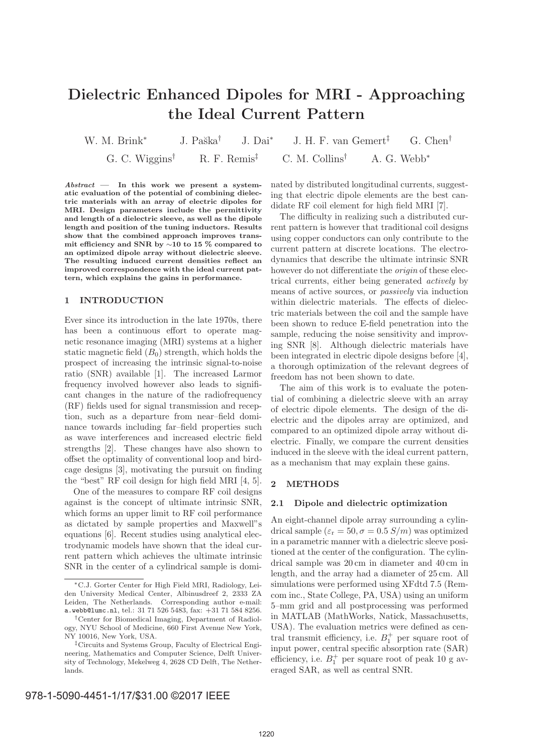# **Dielectric Enhanced Dipoles for MRI - Approaching the Ideal Current Pattern**

W. M. Brink<sup>\*</sup> J. Paška<sup>†</sup> J. Dai<sup>\*</sup> J. H. F. van Gemert<sup>‡</sup> G. Chen<sup>†</sup> G. C. Wiggins<sup>†</sup> R. F. Remis<sup>‡</sup> C. M. Collins<sup>†</sup> A. G. Webb<sup>\*</sup> G. C. Wiggins† R. F. Remis‡ C. M. Collins† A. G. Webb<sup>∗</sup>

*Abstract* **— In this work we present a systematic evaluation of the potential of combining dielectric materials with an array of electric dipoles for MRI. Design parameters include the permittivity and length of a dielectric sleeve, as well as the dipole length and position of the tuning inductors. Results show that the combined approach improves transmit efficiency and SNR by** ∼**10 to 15 % compared to an optimized dipole array without dielectric sleeve. The resulting induced current densities reflect an improved correspondence with the ideal current pattern, which explains the gains in performance.**

## **1 INTRODUCTION**

Ever since its introduction in the late 1970s, there has been a continuous effort to operate magnetic resonance imaging (MRI) systems at a higher static magnetic field  $(B_0)$  strength, which holds the prospect of increasing the intrinsic signal-to-noise ratio (SNR) available [1]. The increased Larmor frequency involved however also leads to significant changes in the nature of the radiofrequency (RF) fields used for signal transmission and reception, such as a departure from near–field dominance towards including far–field properties such as wave interferences and increased electric field strengths [2]. These changes have also shown to offset the optimality of conventional loop and birdcage designs [3], motivating the pursuit on finding the "best" RF coil design for high field MRI [4, 5].

One of the measures to compare RF coil designs against is the concept of ultimate intrinsic SNR, which forms an upper limit to RF coil performance as dictated by sample properties and Maxwell"s equations [6]. Recent studies using analytical electrodynamic models have shown that the ideal current pattern which achieves the ultimate intrinsic SNR in the center of a cylindrical sample is dominated by distributed longitudinal currents, suggesting that electric dipole elements are the best candidate RF coil element for high field MRI [7].

The difficulty in realizing such a distributed current pattern is however that traditional coil designs using copper conductors can only contribute to the current pattern at discrete locations. The electrodynamics that describe the ultimate intrinsic SNR however do not differentiate the *origin* of these electrical currents, either being generated *actively* by means of active sources, or *passively* via induction within dielectric materials. The effects of dielectric materials between the coil and the sample have been shown to reduce E-field penetration into the sample, reducing the noise sensitivity and improving SNR [8]. Although dielectric materials have been integrated in electric dipole designs before [4], a thorough optimization of the relevant degrees of freedom has not been shown to date.

The aim of this work is to evaluate the potential of combining a dielectric sleeve with an array of electric dipole elements. The design of the dielectric and the dipoles array are optimized, and compared to an optimized dipole array without dielectric. Finally, we compare the current densities induced in the sleeve with the ideal current pattern, as a mechanism that may explain these gains.

## **2 METHODS**

#### **2.1 Dipole and dielectric optimization**

An eight-channel dipole array surrounding a cylindrical sample  $(\varepsilon_{\rm r} = 50, \sigma = 0.5 \, \text{S/m})$  was optimized in a parametric manner with a dielectric sleeve positioned at the center of the configuration. The cylindrical sample was 20 cm in diameter and 40 cm in length, and the array had a diameter of 25 cm. All simulations were performed using XFdtd 7.5 (Remcom inc., State College, PA, USA) using an uniform 5–mm grid and all postprocessing was performed in MATLAB (MathWorks, Natick, Massachusetts, USA). The evaluation metrics were defined as central transmit efficiency, i.e.  $B_1^+$  per square root of input power, central specific absorption rate (SAR) efficiency, i.e.  $B_1^+$  per square root of peak 10 g averaged SAR, as well as central SNR.

<sup>∗</sup>C.J. Gorter Center for High Field MRI, Radiology, Leiden University Medical Center, Albinusdreef 2, 2333 ZA Leiden, The Netherlands. Corresponding author e-mail: a.webb@lumc.nl, tel.: 31 71 526 5483, fax: +31 71 584 8256.

<sup>†</sup>Center for Biomedical Imaging, Department of Radiology, NYU School of Medicine, 660 First Avenue New York, NY 10016, New York, USA.

<sup>‡</sup>Circuits and Systems Group, Faculty of Electrical Engineering, Mathematics and Computer Science, Delft University of Technology, Mekelweg 4, 2628 CD Delft, The Netherlands.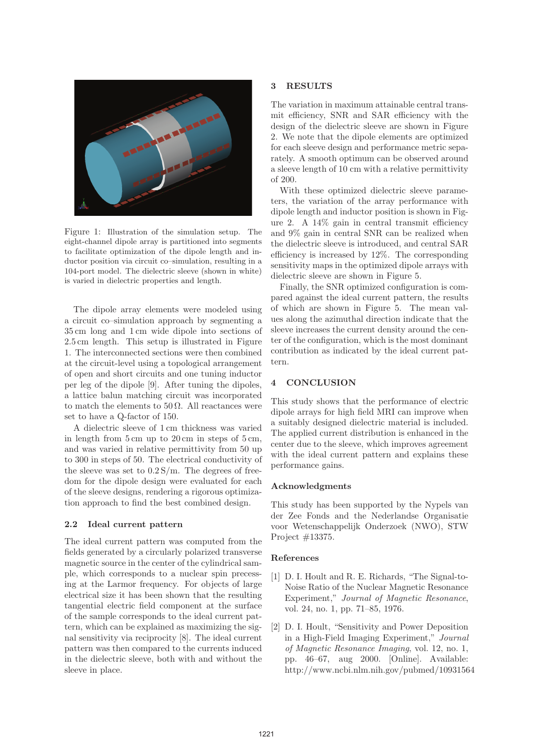

Figure 1: Illustration of the simulation setup. The eight-channel dipole array is partitioned into segments to facilitate optimization of the dipole length and inductor position via circuit co–simulation, resulting in a 104-port model. The dielectric sleeve (shown in white) is varied in dielectric properties and length.

The dipole array elements were modeled using a circuit co–simulation approach by segmenting a 35 cm long and 1 cm wide dipole into sections of 2.5 cm length. This setup is illustrated in Figure 1. The interconnected sections were then combined at the circuit-level using a topological arrangement of open and short circuits and one tuning inductor per leg of the dipole [9]. After tuning the dipoles, a lattice balun matching circuit was incorporated to match the elements to  $50 \Omega$ . All reactances were set to have a Q-factor of 150.

A dielectric sleeve of 1 cm thickness was varied in length from 5 cm up to 20 cm in steps of 5 cm, and was varied in relative permittivity from 50 up to 300 in steps of 50. The electrical conductivity of the sleeve was set to  $0.2 S/m$ . The degrees of freedom for the dipole design were evaluated for each of the sleeve designs, rendering a rigorous optimization approach to find the best combined design.

### **2.2 Ideal current pattern**

The ideal current pattern was computed from the fields generated by a circularly polarized transverse magnetic source in the center of the cylindrical sample, which corresponds to a nuclear spin precessing at the Larmor frequency. For objects of large electrical size it has been shown that the resulting tangential electric field component at the surface of the sample corresponds to the ideal current pattern, which can be explained as maximizing the signal sensitivity via reciprocity [8]. The ideal current pattern was then compared to the currents induced in the dielectric sleeve, both with and without the sleeve in place.

## **3 RESULTS**

The variation in maximum attainable central transmit efficiency, SNR and SAR efficiency with the design of the dielectric sleeve are shown in Figure 2. We note that the dipole elements are optimized for each sleeve design and performance metric separately. A smooth optimum can be observed around a sleeve length of 10 cm with a relative permittivity of 200.

With these optimized dielectric sleeve parameters, the variation of the array performance with dipole length and inductor position is shown in Figure 2. A 14% gain in central transmit efficiency and 9% gain in central SNR can be realized when the dielectric sleeve is introduced, and central SAR efficiency is increased by 12%. The corresponding sensitivity maps in the optimized dipole arrays with dielectric sleeve are shown in Figure 5.

Finally, the SNR optimized configuration is compared against the ideal current pattern, the results of which are shown in Figure 5. The mean values along the azimuthal direction indicate that the sleeve increases the current density around the center of the configuration, which is the most dominant contribution as indicated by the ideal current pattern.

## **4 CONCLUSION**

This study shows that the performance of electric dipole arrays for high field MRI can improve when a suitably designed dielectric material is included. The applied current distribution is enhanced in the center due to the sleeve, which improves agreement with the ideal current pattern and explains these performance gains.

#### **Acknowledgments**

This study has been supported by the Nypels van der Zee Fonds and the Nederlandse Organisatie voor Wetenschappelijk Onderzoek (NWO), STW Project #13375.

#### **References**

- [1] D. I. Hoult and R. E. Richards, "The Signal-to-Noise Ratio of the Nuclear Magnetic Resonance Experiment," *Journal of Magnetic Resonance*, vol. 24, no. 1, pp. 71–85, 1976.
- [2] D. I. Hoult, "Sensitivity and Power Deposition in a High-Field Imaging Experiment," *Journal of Magnetic Resonance Imaging*, vol. 12, no. 1, pp. 46–67, aug 2000. [Online]. Available: http://www.ncbi.nlm.nih.gov/pubmed/10931564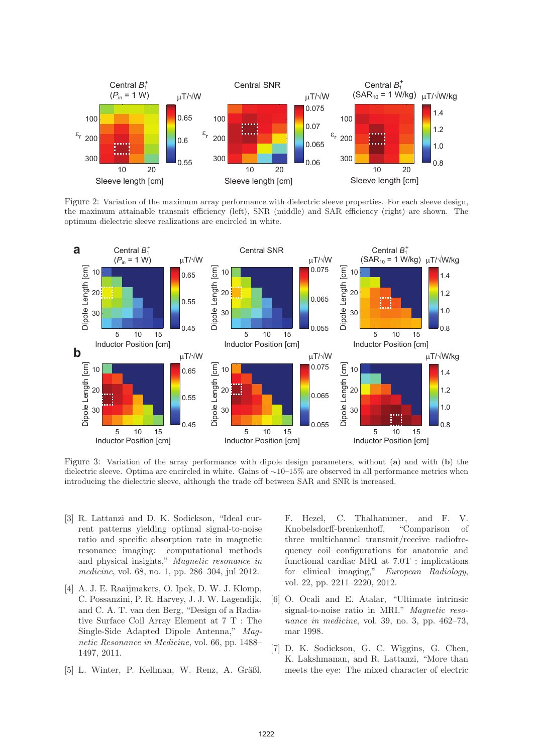

Figure 2: Variation of the maximum array performance with dielectric sleeve properties. For each sleeve design, the maximum attainable transmit efficiency (left), SNR (middle) and SAR efficiency (right) are shown. The optimum dielectric sleeve realizations are encircled in white.



Figure 3: Variation of the array performance with dipole design parameters, without (**a**) and with (**b**) the dielectric sleeve. Optima are encircled in white. Gains of ∼10–15% are observed in all performance metrics when introducing the dielectric sleeve, although the trade off between SAR and SNR is increased.

- [3] R. Lattanzi and D. K. Sodickson, "Ideal current patterns yielding optimal signal-to-noise ratio and specific absorption rate in magnetic resonance imaging: computational methods and physical insights," *Magnetic resonance in medicine*, vol. 68, no. 1, pp. 286–304, jul 2012.
- [4] A. J. E. Raaijmakers, O. Ipek, D. W. J. Klomp, C. Possanzini, P. R. Harvey, J. J. W. Lagendijk, and C. A. T. van den Berg, "Design of a Radiative Surface Coil Array Element at 7 T : The Single-Side Adapted Dipole Antenna," *Magnetic Resonance in Medicine*, vol. 66, pp. 1488– 1497, 2011.
- [5] L. Winter, P. Kellman, W. Renz, A. Gräßl,

F. Hezel, C. Thalhammer, and F. V. Knobelsdorff-brenkenhoff, "Comparison of three multichannel transmit/receive radiofrequency coil configurations for anatomic and functional cardiac MRI at 7.0T : implications for clinical imaging," *European Radiology*, vol. 22, pp. 2211–2220, 2012.

- [6] O. Ocali and E. Atalar, "Ultimate intrinsic signal-to-noise ratio in MRI." *Magnetic resonance in medicine*, vol. 39, no. 3, pp. 462–73, mar 1998.
- [7] D. K. Sodickson, G. C. Wiggins, G. Chen, K. Lakshmanan, and R. Lattanzi, "More than meets the eye: The mixed character of electric